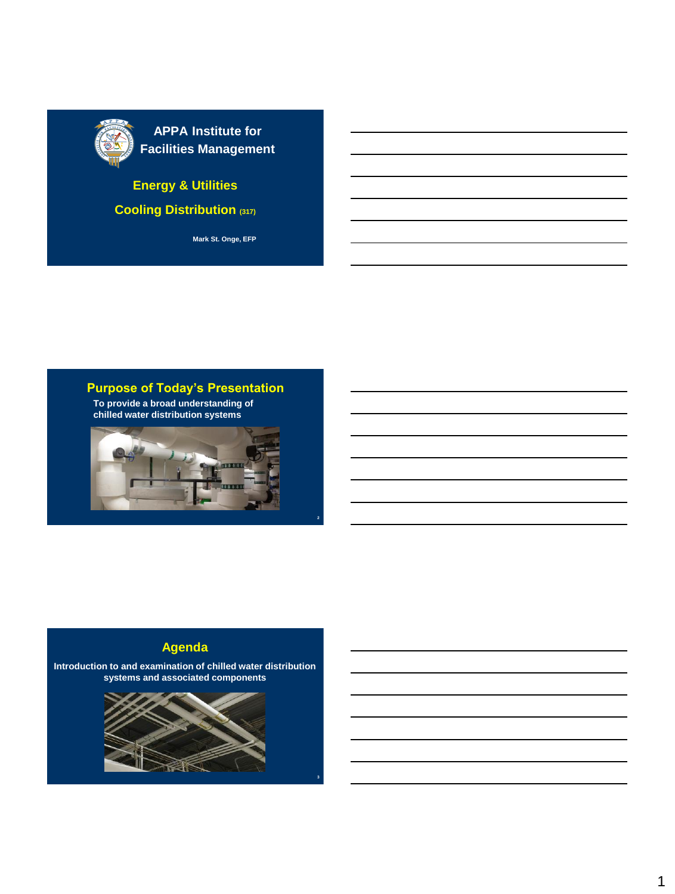

**APPA Institute for Facilities Management**

#### **Energy & Utilities**

**Cooling Distribution (317)**

**Mark St. Onge, EFP**

#### **Purpose of Today's Presentation**

**To provide a broad understanding of chilled water distribution systems**



#### **Agenda**

**Introduction to and examination of chilled water distribution systems and associated components** 

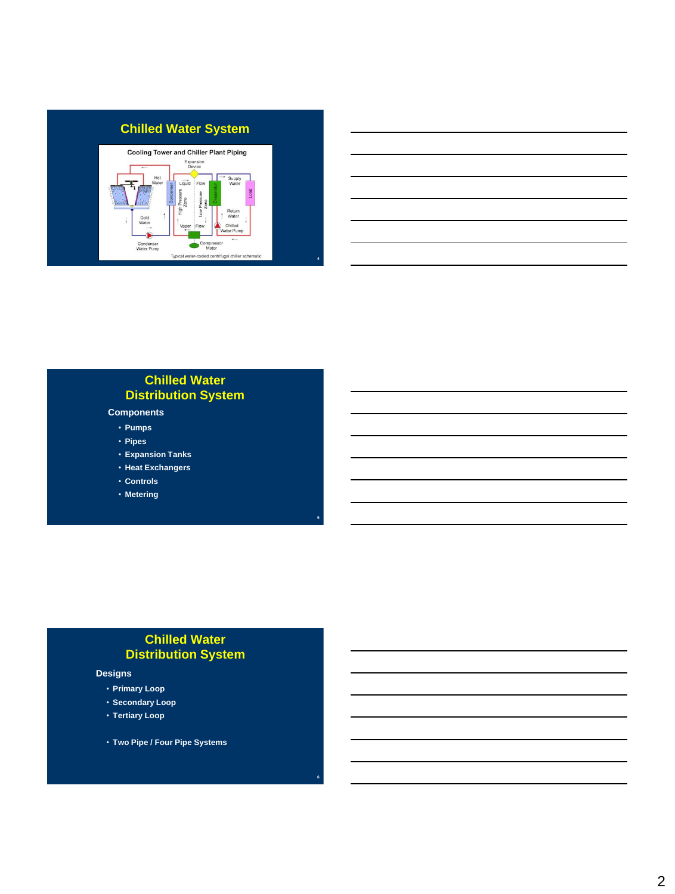

| <u> 1989 - Johann Stoff, amerikansk politiker (* 1908)</u>                                                            |  |  |  |
|-----------------------------------------------------------------------------------------------------------------------|--|--|--|
| <u> 1989 - Andrea Andrew Maria (h. 1989).</u><br>1905 - Andrew Maria (h. 1906).                                       |  |  |  |
|                                                                                                                       |  |  |  |
| <u> 1989 - Johann Stoff, amerikansk politiker (d. 1989)</u>                                                           |  |  |  |
| <u> 1989 - Jan Samuel Barbara, margaret e a seu a componente de la componentación de la componentación de la comp</u> |  |  |  |
|                                                                                                                       |  |  |  |
|                                                                                                                       |  |  |  |

#### **Chilled Water Distribution System**

**5**

**6**

#### **Components**

- **Pumps**
- **Pipes**
- **Expansion Tanks**
- **Heat Exchangers**
- **Controls**
- **Metering**

#### **Chilled Water Distribution System**

#### **Designs**

- **Primary Loop**
- **Secondary Loop**
- **Tertiary Loop**
- **Two Pipe / Four Pipe Systems**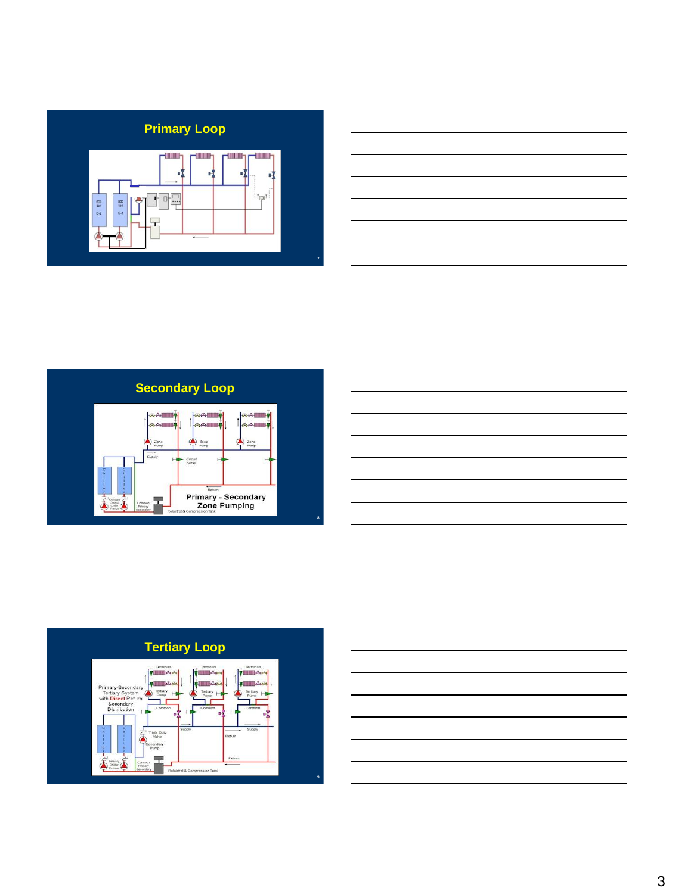









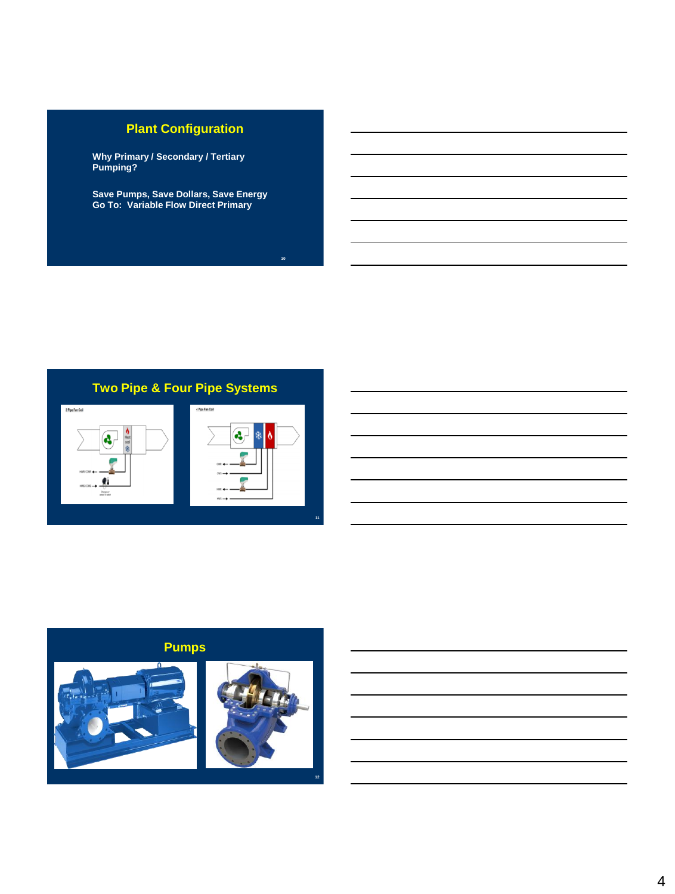#### **Plant Configuration**

**Why Primary / Secondary / Tertiary Pumping?**

**Save Pumps, Save Dollars, Save Energy Go To: Variable Flow Direct Primary**

**10**

#### **Two Pipe & Four Pipe Systems**



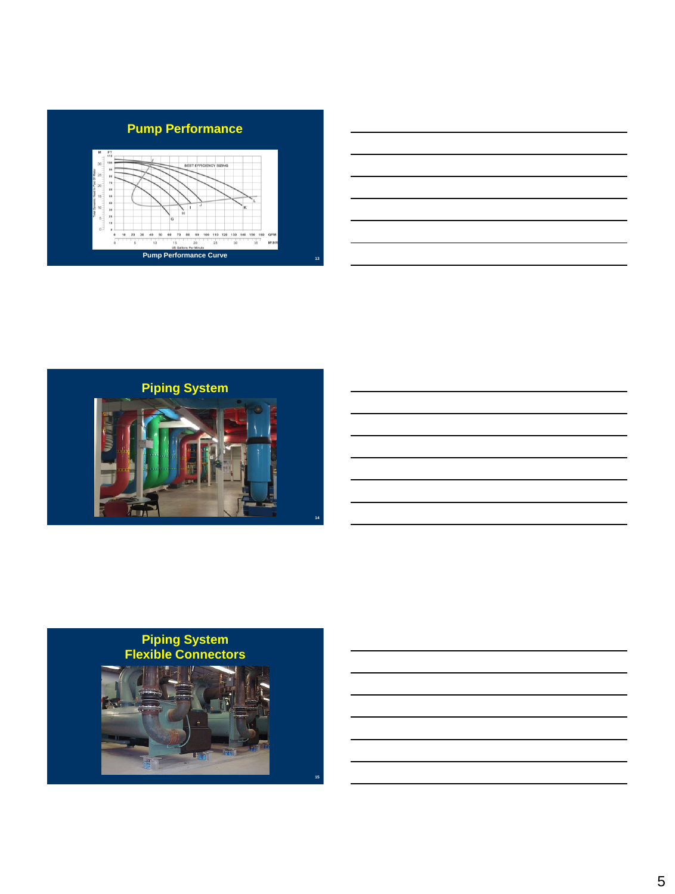#### **Pump Performance**







## **Piping System Flexible Connectors** valit.

**15**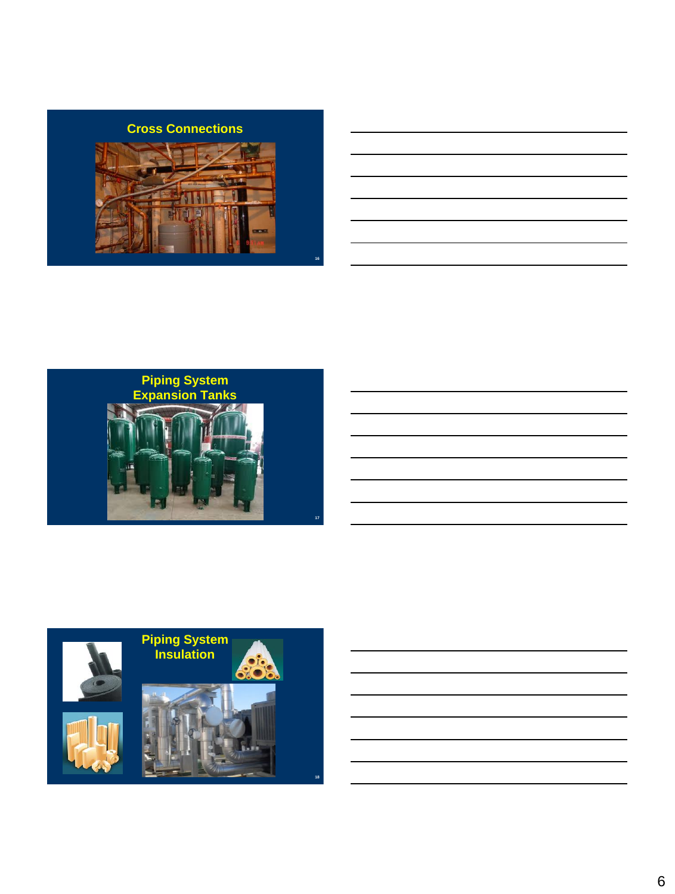#### **Cross Connections**





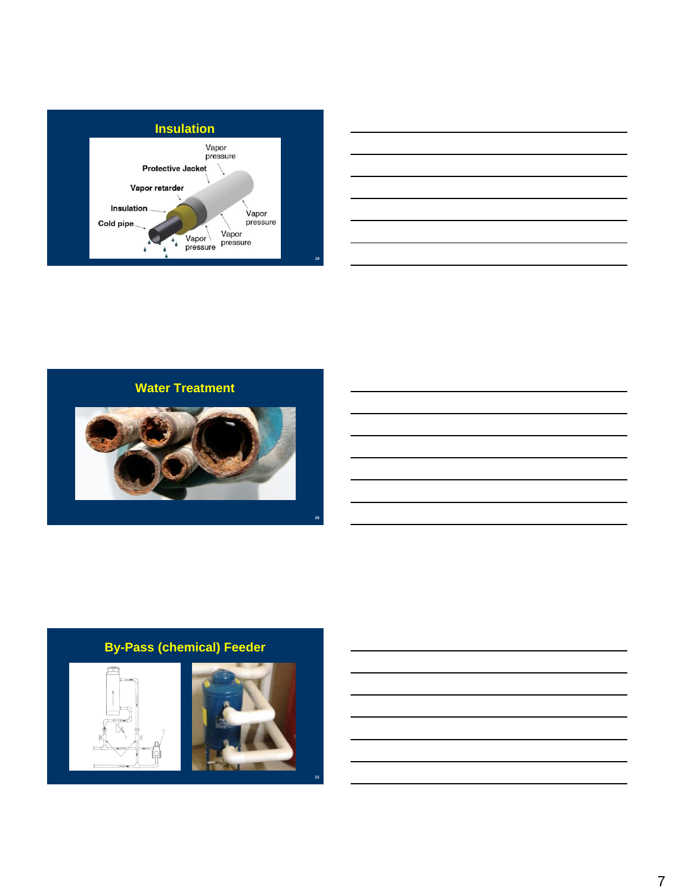





#### **By-Pass (chemical) Feeder**



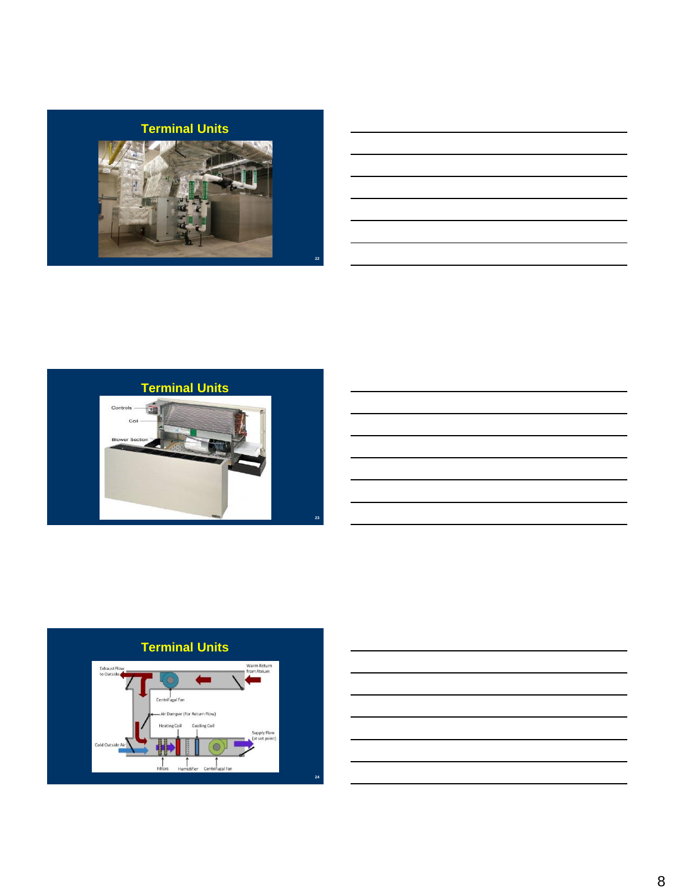#### **Terminal Units**



#### **Terminal Units**





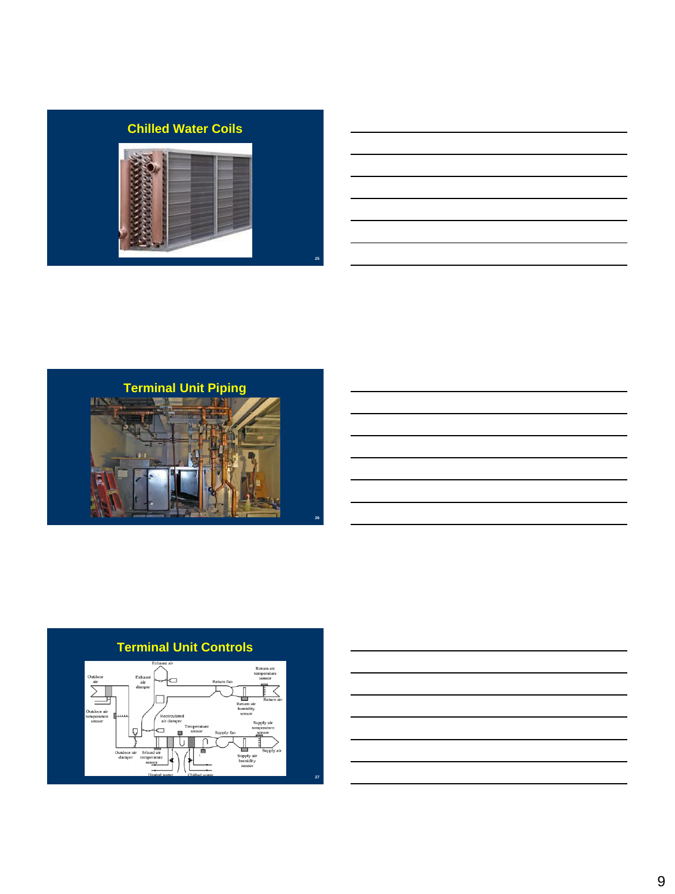

# the control of the control of the control of the control of the control of the control of





 $\Box$ 

**27**

#### **Terminal Unit Controls**

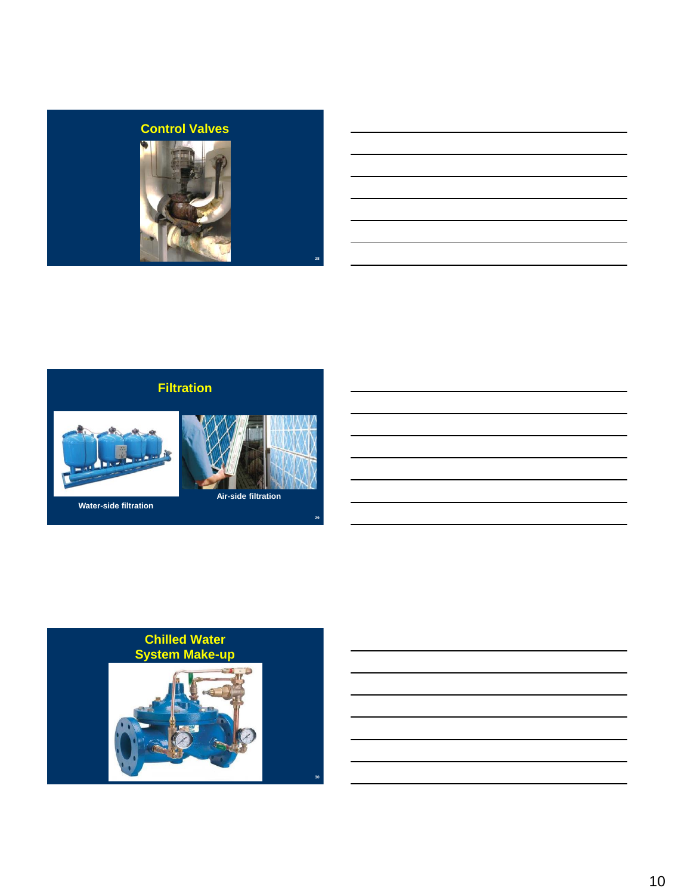







**29**

**Water-side filtration**

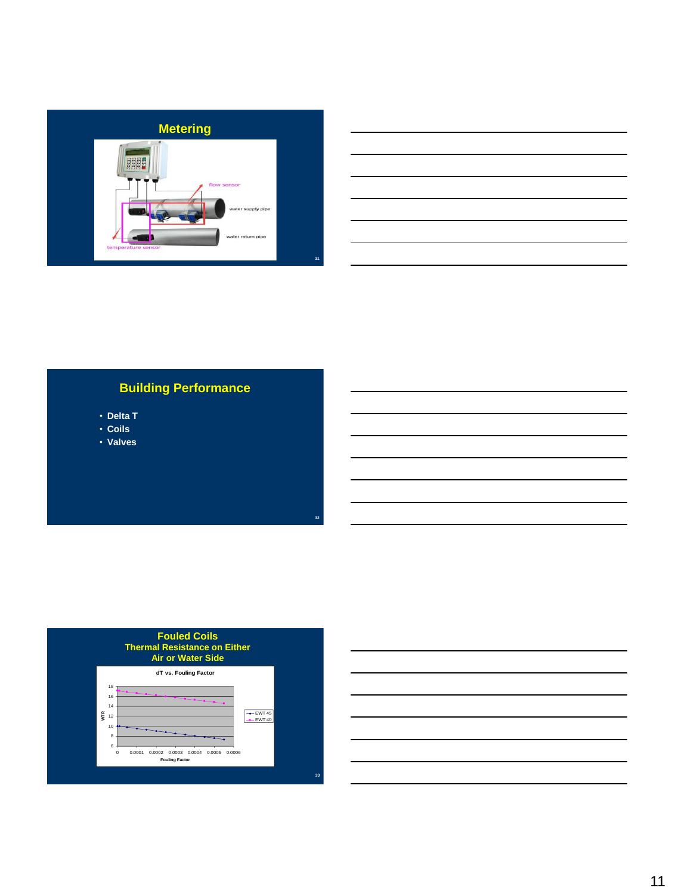

|                                                                                                                     | the control of the control of the control of the control of the control of the control of the control of the control of the control of the control of the control of the control of the control of the control of the control |  |  |
|---------------------------------------------------------------------------------------------------------------------|-------------------------------------------------------------------------------------------------------------------------------------------------------------------------------------------------------------------------------|--|--|
|                                                                                                                     |                                                                                                                                                                                                                               |  |  |
|                                                                                                                     | <u> 1989 - Jan Samuel Barbara, margaret eta biztanleria (h. 1989).</u>                                                                                                                                                        |  |  |
|                                                                                                                     | the contract of the contract of the contract of the contract of the contract of                                                                                                                                               |  |  |
|                                                                                                                     |                                                                                                                                                                                                                               |  |  |
|                                                                                                                     |                                                                                                                                                                                                                               |  |  |
| and the contract of the contract of the contract of the contract of the contract of the contract of the contract of |                                                                                                                                                                                                                               |  |  |
|                                                                                                                     |                                                                                                                                                                                                                               |  |  |

#### **Building Performance**

**32**

- **Delta T**
- **Coils**
- **Valves**



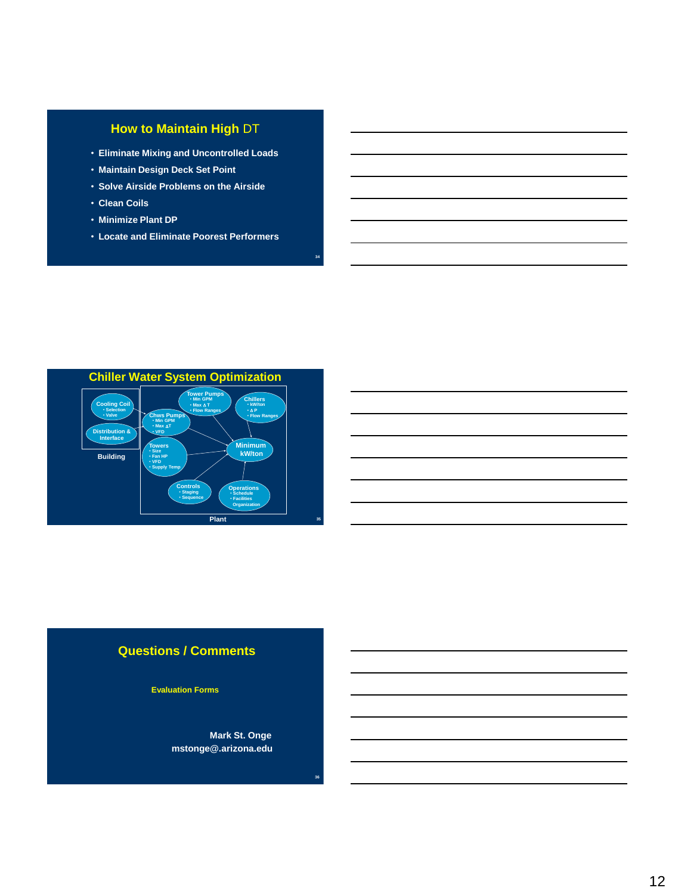#### **How to Maintain High** DT

- **Eliminate Mixing and Uncontrolled Loads**
- **Maintain Design Deck Set Point**
- **Solve Airside Problems on the Airside**
- **Clean Coils**
- **Minimize Plant DP**
- **Locate and Eliminate Poorest Performers**



#### **Questions / Comments**

**Evaluation Forms**

**Mark St. Onge mstonge@.arizona.edu** **34**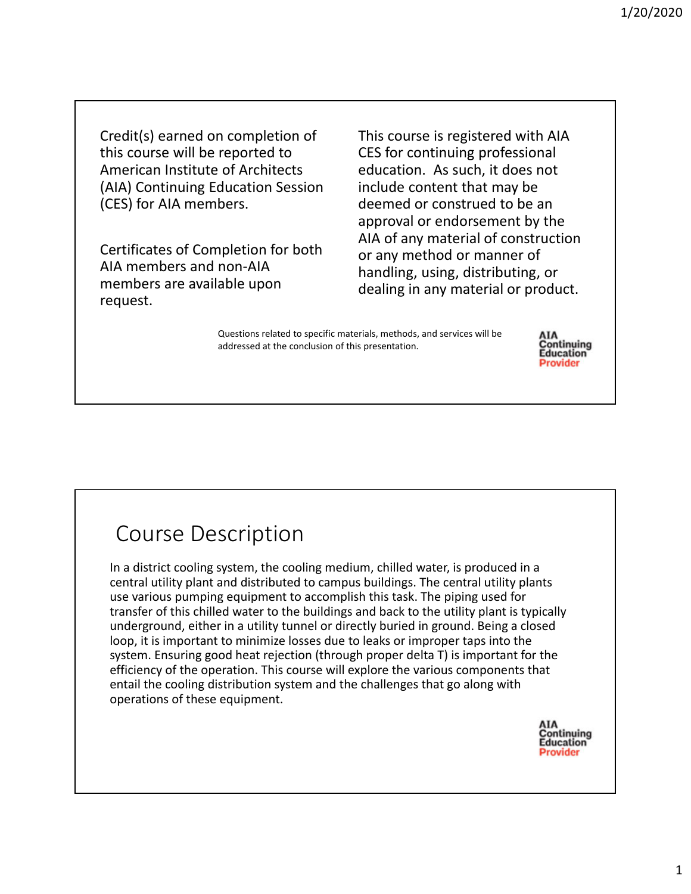Credit(s) earned on completion of this course will be reported to American Institute of Architects (AIA) Continuing Education Session (CES) for AIA members.

Certificates of Completion for both AIA members and non‐AIA members are available upon request.

This course is registered with AIA CES for continuing professional education. As such, it does not include content that may be deemed or construed to be an approval or endorsement by the AIA of any material of construction or any method or manner of handling, using, distributing, or dealing in any material or product.

Questions related to specific materials, methods, and services will be addressed at the conclusion of this presentation.



### Course Description

In a district cooling system, the cooling medium, chilled water, is produced in a central utility plant and distributed to campus buildings. The central utility plants use various pumping equipment to accomplish this task. The piping used for transfer of this chilled water to the buildings and back to the utility plant is typically underground, either in a utility tunnel or directly buried in ground. Being a closed loop, it is important to minimize losses due to leaks or improper taps into the system. Ensuring good heat rejection (through proper delta T) is important for the efficiency of the operation. This course will explore the various components that entail the cooling distribution system and the challenges that go along with operations of these equipment.